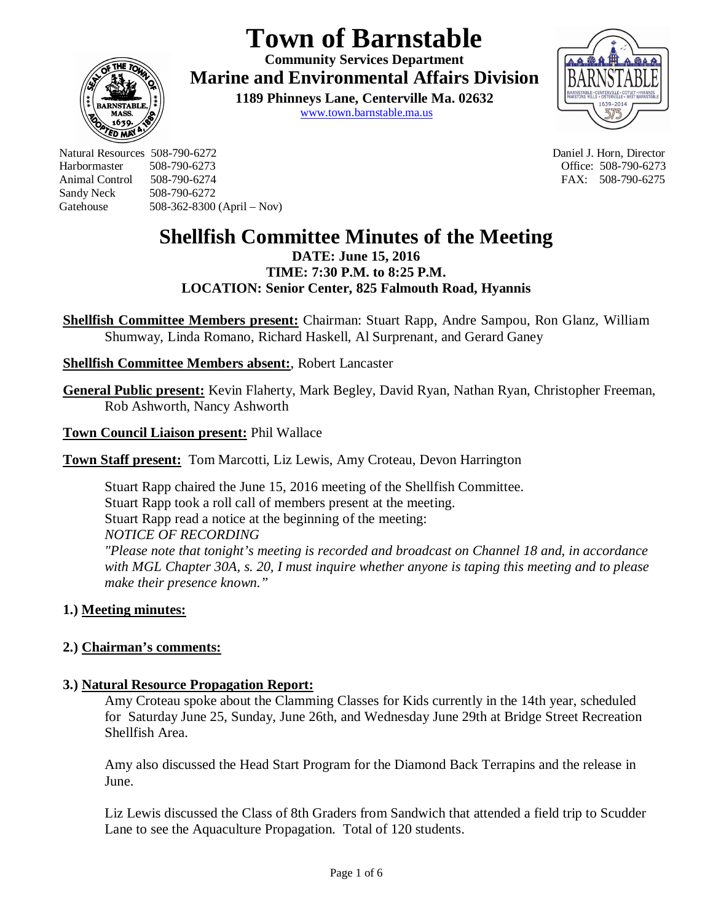# **Town of Barnstable**

**Community Services Department Marine and Environmental Affairs Division** 

> **1189 Phinneys Lane, Centerville Ma. 02632** www.town.barnstable.ma.us



Natural Resources 508-790-6272 Daniel J. Horn, Director Harbormaster 508-790-6273 Office: 508-790-6273 Sandy Neck 508-790-6272 Gatehouse 508-362-8300 (April – Nov)

**ED MI** 

FAX: 508-790-6275

# **Shellfish Committee Minutes of the Meeting**

**DATE: June 15, 2016 TIME: 7:30 P.M. to 8:25 P.M. LOCATION: Senior Center, 825 Falmouth Road, Hyannis**

**Shellfish Committee Members present:** Chairman: Stuart Rapp, Andre Sampou, Ron Glanz, William Shumway, Linda Romano, Richard Haskell, Al Surprenant, and Gerard Ganey

# **Shellfish Committee Members absent:**, Robert Lancaster

**General Public present:** Kevin Flaherty, Mark Begley, David Ryan, Nathan Ryan, Christopher Freeman, Rob Ashworth, Nancy Ashworth

**Town Council Liaison present:** Phil Wallace

**Town Staff present:** Tom Marcotti, Liz Lewis, Amy Croteau, Devon Harrington

Stuart Rapp chaired the June 15, 2016 meeting of the Shellfish Committee. Stuart Rapp took a roll call of members present at the meeting. Stuart Rapp read a notice at the beginning of the meeting: *NOTICE OF RECORDING "Please note that tonight's meeting is recorded and broadcast on Channel 18 and, in accordance with MGL Chapter 30A, s. 20, I must inquire whether anyone is taping this meeting and to please make their presence known."*

# **1.) Meeting minutes:**

# **2.) Chairman's comments:**

# **3.) Natural Resource Propagation Report:**

Amy Croteau spoke about the Clamming Classes for Kids currently in the 14th year, scheduled for Saturday June 25, Sunday, June 26th, and Wednesday June 29th at Bridge Street Recreation Shellfish Area.

Amy also discussed the Head Start Program for the Diamond Back Terrapins and the release in June.

Liz Lewis discussed the Class of 8th Graders from Sandwich that attended a field trip to Scudder Lane to see the Aquaculture Propagation. Total of 120 students.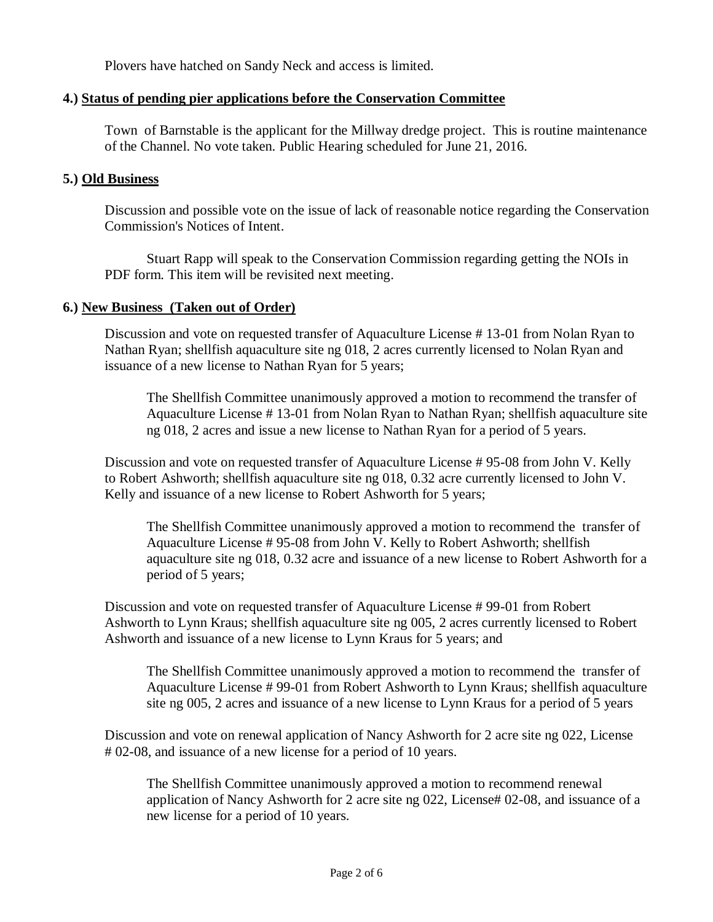Plovers have hatched on Sandy Neck and access is limited.

# **4.) Status of pending pier applications before the Conservation Committee**

Town of Barnstable is the applicant for the Millway dredge project. This is routine maintenance of the Channel. No vote taken. Public Hearing scheduled for June 21, 2016.

# **5.) Old Business**

Discussion and possible vote on the issue of lack of reasonable notice regarding the Conservation Commission's Notices of Intent.

Stuart Rapp will speak to the Conservation Commission regarding getting the NOIs in PDF form. This item will be revisited next meeting.

# **6.) New Business (Taken out of Order)**

Discussion and vote on requested transfer of Aquaculture License # 13-01 from Nolan Ryan to Nathan Ryan; shellfish aquaculture site ng 018, 2 acres currently licensed to Nolan Ryan and issuance of a new license to Nathan Ryan for 5 years;

The Shellfish Committee unanimously approved a motion to recommend the transfer of Aquaculture License # 13-01 from Nolan Ryan to Nathan Ryan; shellfish aquaculture site ng 018, 2 acres and issue a new license to Nathan Ryan for a period of 5 years.

Discussion and vote on requested transfer of Aquaculture License # 95-08 from John V. Kelly to Robert Ashworth; shellfish aquaculture site ng 018, 0.32 acre currently licensed to John V. Kelly and issuance of a new license to Robert Ashworth for 5 years;

The Shellfish Committee unanimously approved a motion to recommend the transfer of Aquaculture License # 95-08 from John V. Kelly to Robert Ashworth; shellfish aquaculture site ng 018, 0.32 acre and issuance of a new license to Robert Ashworth for a period of 5 years;

Discussion and vote on requested transfer of Aquaculture License # 99-01 from Robert Ashworth to Lynn Kraus; shellfish aquaculture site ng 005, 2 acres currently licensed to Robert Ashworth and issuance of a new license to Lynn Kraus for 5 years; and

The Shellfish Committee unanimously approved a motion to recommend the transfer of Aquaculture License # 99-01 from Robert Ashworth to Lynn Kraus; shellfish aquaculture site ng 005, 2 acres and issuance of a new license to Lynn Kraus for a period of 5 years

Discussion and vote on renewal application of Nancy Ashworth for 2 acre site ng 022, License # 02-08, and issuance of a new license for a period of 10 years.

The Shellfish Committee unanimously approved a motion to recommend renewal application of Nancy Ashworth for 2 acre site ng 022, License# 02-08, and issuance of a new license for a period of 10 years.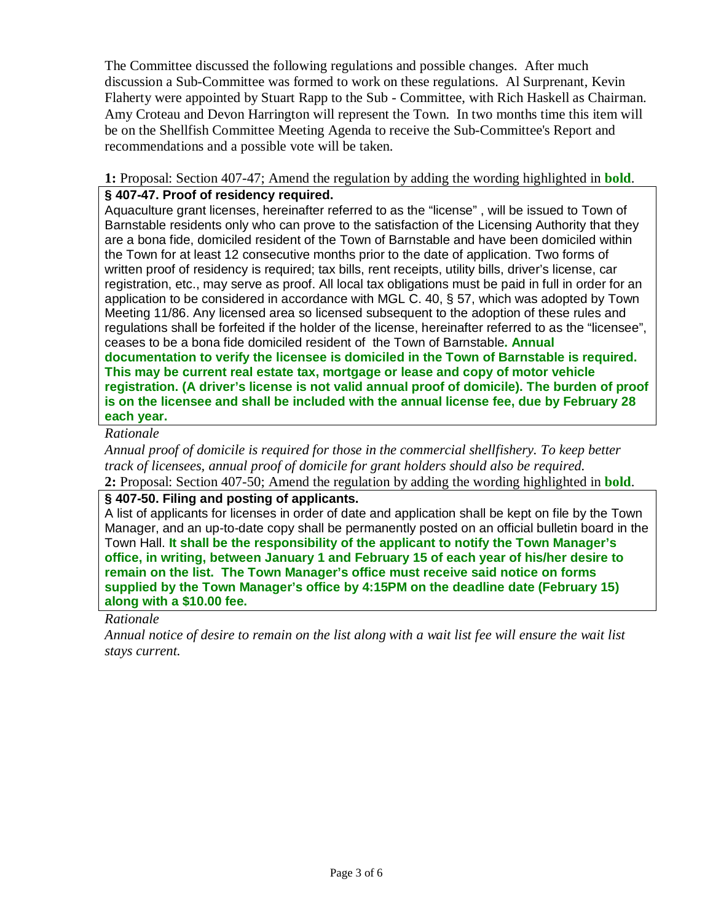The Committee discussed the following regulations and possible changes. After much discussion a Sub-Committee was formed to work on these regulations. Al Surprenant, Kevin Flaherty were appointed by Stuart Rapp to the Sub - Committee, with Rich Haskell as Chairman. Amy Croteau and Devon Harrington will represent the Town. In two months time this item will be on the Shellfish Committee Meeting Agenda to receive the Sub-Committee's Report and recommendations and a possible vote will be taken.

#### **1:** Proposal: Section 407-47; Amend the regulation by adding the wording highlighted in **bold**. **§ 407-47. Proof of residency required.**

Aquaculture grant licenses, hereinafter referred to as the "license" , will be issued to Town of Barnstable residents only who can prove to the satisfaction of the Licensing Authority that they are a bona fide, domiciled resident of the Town of Barnstable and have been domiciled within the Town for at least 12 consecutive months prior to the date of application. Two forms of written proof of residency is required; tax bills, rent receipts, utility bills, driver's license, car registration, etc., may serve as proof. All local tax obligations must be paid in full in order for an application to be considered in accordance with MGL C. 40, § 57, which was adopted by Town Meeting 11/86. Any licensed area so licensed subsequent to the adoption of these rules and regulations shall be forfeited if the holder of the license, hereinafter referred to as the "licensee", ceases to be a bona fide domiciled resident of the Town of Barnstable**. Annual documentation to verify the licensee is domiciled in the Town of Barnstable is required. This may be current real estate tax, mortgage or lease and copy of motor vehicle registration. (A driver's license is not valid annual proof of domicile). The burden of proof is on the licensee and shall be included with the annual license fee, due by February 28 each year.**

# *Rationale*

*Annual proof of domicile is required for those in the commercial shellfishery. To keep better track of licensees, annual proof of domicile for grant holders should also be required.* **2:** Proposal: Section 407-50; Amend the regulation by adding the wording highlighted in **bold**.

#### **§ 407-50. Filing and posting of applicants.**

A list of applicants for licenses in order of date and application shall be kept on file by the Town Manager, and an up-to-date copy shall be permanently posted on an official bulletin board in the Town Hall. **It shall be the responsibility of the applicant to notify the Town Manager's office, in writing, between January 1 and February 15 of each year of his/her desire to remain on the list. The Town Manager's office must receive said notice on forms supplied by the Town Manager's office by 4:15PM on the deadline date (February 15) along with a \$10.00 fee.**

#### *Rationale*

*Annual notice of desire to remain on the list along with a wait list fee will ensure the wait list stays current.*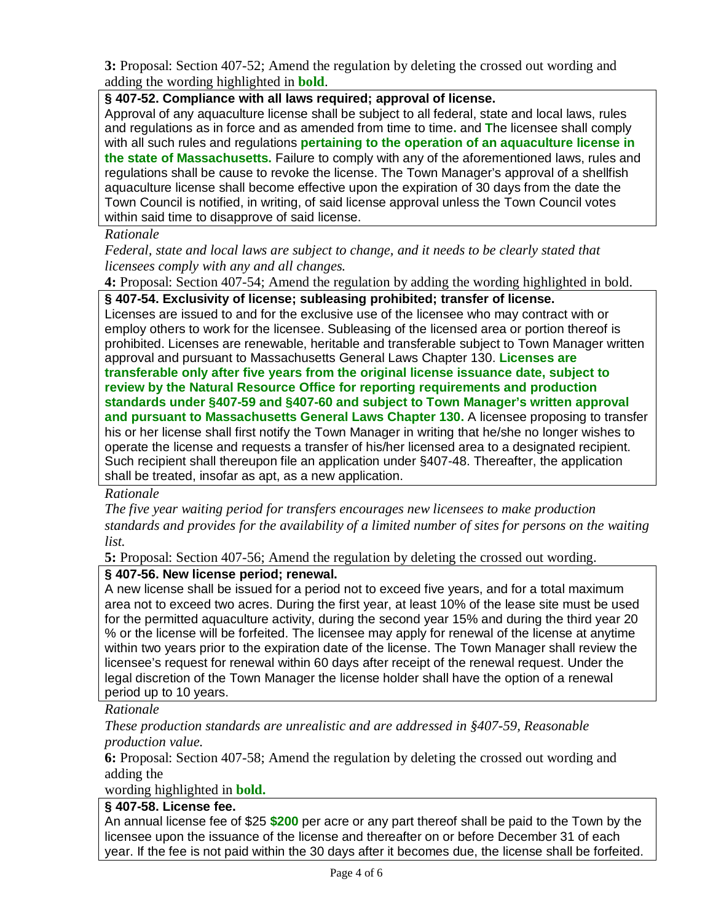**3:** Proposal: Section 407-52; Amend the regulation by deleting the crossed out wording and adding the wording highlighted in **bold**.

# **§ 407-52. Compliance with all laws required; approval of license.**

Approval of any aquaculture license shall be subject to all federal, state and local laws, rules and regulations as in force and as amended from time to time**.** and **T**he licensee shall comply with all such rules and regulations **pertaining to the operation of an aquaculture license in the state of Massachusetts.** Failure to comply with any of the aforementioned laws, rules and regulations shall be cause to revoke the license. The Town Manager's approval of a shellfish aquaculture license shall become effective upon the expiration of 30 days from the date the Town Council is notified, in writing, of said license approval unless the Town Council votes within said time to disapprove of said license.

#### *Rationale*

*Federal, state and local laws are subject to change, and it needs to be clearly stated that licensees comply with any and all changes.*

**4:** Proposal: Section 407-54; Amend the regulation by adding the wording highlighted in bold.

#### **§ 407-54. Exclusivity of license; subleasing prohibited; transfer of license.**

Licenses are issued to and for the exclusive use of the licensee who may contract with or employ others to work for the licensee. Subleasing of the licensed area or portion thereof is prohibited. Licenses are renewable, heritable and transferable subject to Town Manager written approval and pursuant to Massachusetts General Laws Chapter 130. **Licenses are transferable only after five years from the original license issuance date, subject to review by the Natural Resource Office for reporting requirements and production standards under §407-59 and §407-60 and subject to Town Manager's written approval and pursuant to Massachusetts General Laws Chapter 130.** A licensee proposing to transfer his or her license shall first notify the Town Manager in writing that he/she no longer wishes to operate the license and requests a transfer of his/her licensed area to a designated recipient. Such recipient shall thereupon file an application under §407-48. Thereafter, the application shall be treated, insofar as apt, as a new application.

#### *Rationale*

*The five year waiting period for transfers encourages new licensees to make production standards and provides for the availability of a limited number of sites for persons on the waiting list.*

**5:** Proposal: Section 407-56; Amend the regulation by deleting the crossed out wording.

#### **§ 407-56. New license period; renewal.**

A new license shall be issued for a period not to exceed five years, and for a total maximum area not to exceed two acres. During the first year, at least 10% of the lease site must be used for the permitted aquaculture activity, during the second year 15% and during the third year 20 % or the license will be forfeited. The licensee may apply for renewal of the license at anytime within two years prior to the expiration date of the license. The Town Manager shall review the licensee's request for renewal within 60 days after receipt of the renewal request. Under the legal discretion of the Town Manager the license holder shall have the option of a renewal period up to 10 years.

#### *Rationale*

*These production standards are unrealistic and are addressed in §407-59, Reasonable production value.*

**6:** Proposal: Section 407-58; Amend the regulation by deleting the crossed out wording and adding the

#### wording highlighted in **bold.**

#### **§ 407-58. License fee.**

An annual license fee of \$25 **\$200** per acre or any part thereof shall be paid to the Town by the licensee upon the issuance of the license and thereafter on or before December 31 of each year. If the fee is not paid within the 30 days after it becomes due, the license shall be forfeited.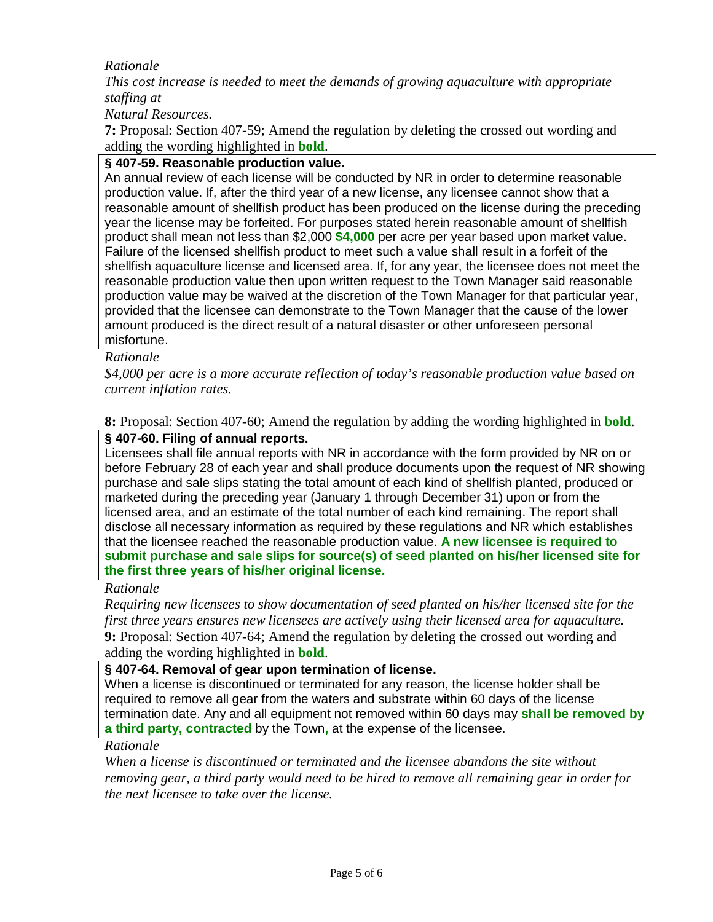# *Rationale*

*This cost increase is needed to meet the demands of growing aquaculture with appropriate staffing at*

*Natural Resources.*

**7:** Proposal: Section 407-59; Amend the regulation by deleting the crossed out wording and adding the wording highlighted in **bold**.

# **§ 407-59. Reasonable production value.**

An annual review of each license will be conducted by NR in order to determine reasonable production value. If, after the third year of a new license, any licensee cannot show that a reasonable amount of shellfish product has been produced on the license during the preceding year the license may be forfeited. For purposes stated herein reasonable amount of shellfish product shall mean not less than \$2,000 **\$4,000** per acre per year based upon market value. Failure of the licensed shellfish product to meet such a value shall result in a forfeit of the shellfish aquaculture license and licensed area. If, for any year, the licensee does not meet the reasonable production value then upon written request to the Town Manager said reasonable production value may be waived at the discretion of the Town Manager for that particular year, provided that the licensee can demonstrate to the Town Manager that the cause of the lower amount produced is the direct result of a natural disaster or other unforeseen personal misfortune.

# *Rationale*

*\$4,000 per acre is a more accurate reflection of today's reasonable production value based on current inflation rates.*

**8:** Proposal: Section 407-60; Amend the regulation by adding the wording highlighted in **bold**.

# **§ 407-60. Filing of annual reports.**

Licensees shall file annual reports with NR in accordance with the form provided by NR on or before February 28 of each year and shall produce documents upon the request of NR showing purchase and sale slips stating the total amount of each kind of shellfish planted, produced or marketed during the preceding year (January 1 through December 31) upon or from the licensed area, and an estimate of the total number of each kind remaining. The report shall disclose all necessary information as required by these regulations and NR which establishes that the licensee reached the reasonable production value. **A new licensee is required to submit purchase and sale slips for source(s) of seed planted on his/her licensed site for the first three years of his/her original license.**

#### *Rationale*

*Requiring new licensees to show documentation of seed planted on his/her licensed site for the first three years ensures new licensees are actively using their licensed area for aquaculture.* **9:** Proposal: Section 407-64; Amend the regulation by deleting the crossed out wording and adding the wording highlighted in **bold**.

#### **§ 407-64. Removal of gear upon termination of license.**

When a license is discontinued or terminated for any reason, the license holder shall be required to remove all gear from the waters and substrate within 60 days of the license termination date. Any and all equipment not removed within 60 days may **shall be removed by a third party, contracted** by the Town**,** at the expense of the licensee.

# *Rationale*

*When a license is discontinued or terminated and the licensee abandons the site without removing gear, a third party would need to be hired to remove all remaining gear in order for the next licensee to take over the license.*